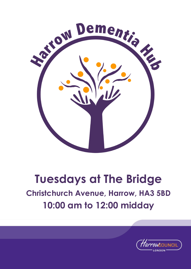

# **Tuesdays at The Bridge Christchurch Avenue, Harrow, HA3 5BD 10:00 am to 12:00 midday**

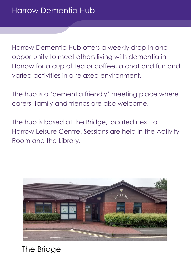Harrow Dementia Hub offers a weekly drop-in and opportunity to meet others living with dementia in Harrow for a cup of tea or coffee, a chat and fun and varied activities in a relaxed environment.

The hub is a 'dementia friendly' meeting place where carers, family and friends are also welcome.

The hub is based at the Bridge, located next to Harrow Leisure Centre. Sessions are held in the Activity Room and the Library.



The Bridge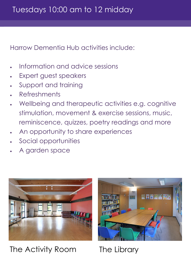Harrow Dementia Hub activities include:

- Information and advice sessions
- Expert guest speakers
- Support and training
- Refreshments
- Wellbeing and therapeutic activities e.g. cognitive stimulation, movement & exercise sessions, music, reminiscence, quizzes, poetry readings and more
- An opportunity to share experiences
- Social opportunities
- A garden space



The Activity Room The Library